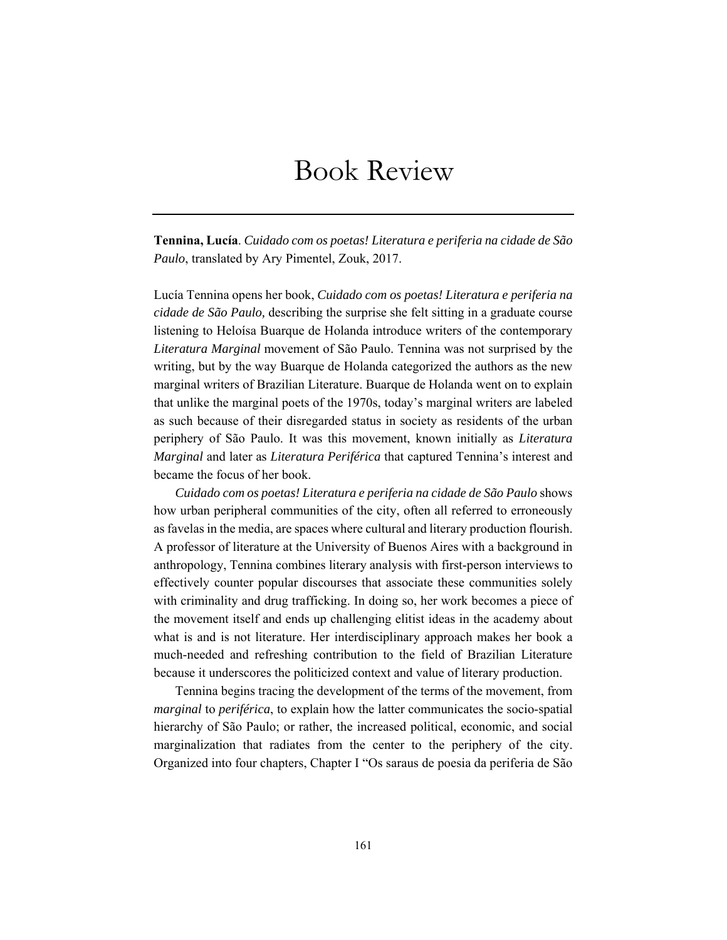## Book Review

**Tennina, Lucía**. *Cuidado com os poetas! Literatura e periferia na cidade de São Paulo*, translated by Ary Pimentel, Zouk, 2017.

Lucía Tennina opens her book, *Cuidado com os poetas! Literatura e periferia na cidade de São Paulo,* describing the surprise she felt sitting in a graduate course listening to Heloísa Buarque de Holanda introduce writers of the contemporary *Literatura Marginal* movement of São Paulo. Tennina was not surprised by the writing, but by the way Buarque de Holanda categorized the authors as the new marginal writers of Brazilian Literature. Buarque de Holanda went on to explain that unlike the marginal poets of the 1970s, today's marginal writers are labeled as such because of their disregarded status in society as residents of the urban periphery of São Paulo. It was this movement, known initially as *Literatura Marginal* and later as *Literatura Periférica* that captured Tennina's interest and became the focus of her book.

*Cuidado com os poetas! Literatura e periferia na cidade de São Paulo* shows how urban peripheral communities of the city, often all referred to erroneously as favelas in the media, are spaces where cultural and literary production flourish. A professor of literature at the University of Buenos Aires with a background in anthropology, Tennina combines literary analysis with first-person interviews to effectively counter popular discourses that associate these communities solely with criminality and drug trafficking. In doing so, her work becomes a piece of the movement itself and ends up challenging elitist ideas in the academy about what is and is not literature. Her interdisciplinary approach makes her book a much-needed and refreshing contribution to the field of Brazilian Literature because it underscores the politicized context and value of literary production.

Tennina begins tracing the development of the terms of the movement, from *marginal* to *periférica*, to explain how the latter communicates the socio-spatial hierarchy of São Paulo; or rather, the increased political, economic, and social marginalization that radiates from the center to the periphery of the city. Organized into four chapters, Chapter I "Os saraus de poesia da periferia de São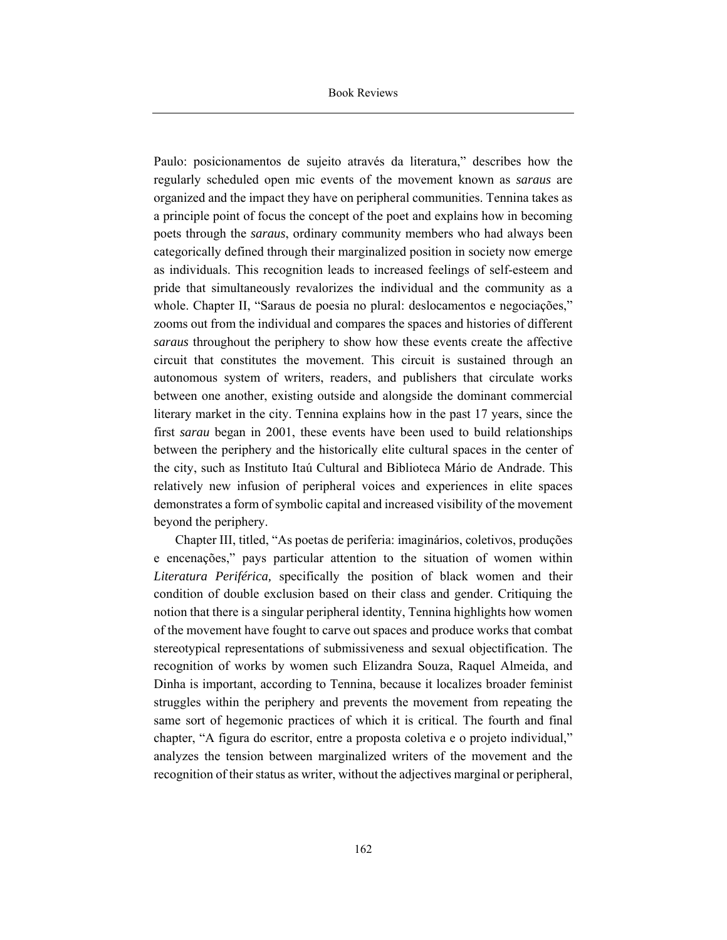Paulo: posicionamentos de sujeito através da literatura," describes how the regularly scheduled open mic events of the movement known as *saraus* are organized and the impact they have on peripheral communities. Tennina takes as a principle point of focus the concept of the poet and explains how in becoming poets through the *saraus*, ordinary community members who had always been categorically defined through their marginalized position in society now emerge as individuals. This recognition leads to increased feelings of self-esteem and pride that simultaneously revalorizes the individual and the community as a whole. Chapter II, "Saraus de poesia no plural: deslocamentos e negociações," zooms out from the individual and compares the spaces and histories of different *saraus* throughout the periphery to show how these events create the affective circuit that constitutes the movement. This circuit is sustained through an autonomous system of writers, readers, and publishers that circulate works between one another, existing outside and alongside the dominant commercial literary market in the city. Tennina explains how in the past 17 years, since the first *sarau* began in 2001, these events have been used to build relationships between the periphery and the historically elite cultural spaces in the center of the city, such as Instituto Itaú Cultural and Biblioteca Mário de Andrade. This relatively new infusion of peripheral voices and experiences in elite spaces demonstrates a form of symbolic capital and increased visibility of the movement beyond the periphery.

Chapter III, titled, "As poetas de periferia: imaginários, coletivos, produções e encenações," pays particular attention to the situation of women within *Literatura Periférica,* specifically the position of black women and their condition of double exclusion based on their class and gender. Critiquing the notion that there is a singular peripheral identity, Tennina highlights how women of the movement have fought to carve out spaces and produce works that combat stereotypical representations of submissiveness and sexual objectification. The recognition of works by women such Elizandra Souza, Raquel Almeida, and Dinha is important, according to Tennina, because it localizes broader feminist struggles within the periphery and prevents the movement from repeating the same sort of hegemonic practices of which it is critical. The fourth and final chapter, "A figura do escritor, entre a proposta coletiva e o projeto individual," analyzes the tension between marginalized writers of the movement and the recognition of their status as writer, without the adjectives marginal or peripheral,